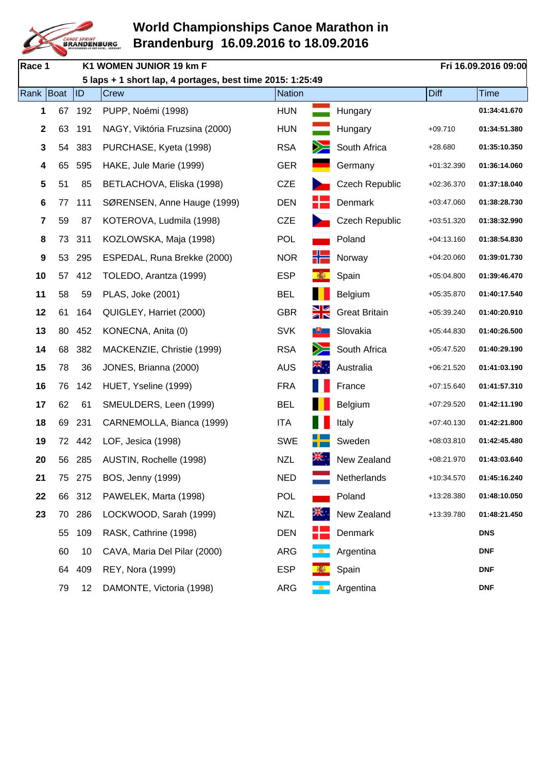

| Race 1 |           |     | K1 WOMEN JUNIOR 19 km F                                   |            |                      |                       |              | Fri 16.09.2016 09:00 |
|--------|-----------|-----|-----------------------------------------------------------|------------|----------------------|-----------------------|--------------|----------------------|
|        |           |     | 5 laps + 1 short lap, 4 portages, best time 2015: 1:25:49 |            |                      |                       |              |                      |
|        | Rank Boat | ID  | Crew                                                      | Nation     |                      |                       | Diff         | <b>Time</b>          |
|        | 67<br>1   | 192 | PUPP, Noémi (1998)                                        | <b>HUN</b> |                      | Hungary               |              | 01:34:41.670         |
|        | 2<br>63   | 191 | NAGY, Viktória Fruzsina (2000)                            | <b>HUN</b> |                      | Hungary               | $+09.710$    | 01:34:51.380         |
|        | 3<br>54   | 383 | PURCHASE, Kyeta (1998)                                    | <b>RSA</b> |                      | South Africa          | $+28.680$    | 01:35:10.350         |
|        | 4<br>65   | 595 | HAKE, Jule Marie (1999)                                   | <b>GER</b> |                      | Germany               | $+01:32.390$ | 01:36:14.060         |
|        | 5<br>51   | 85  | BETLACHOVA, Eliska (1998)                                 | <b>CZE</b> |                      | <b>Czech Republic</b> | $+02:36.370$ | 01:37:18.040         |
|        | 6<br>77   | 111 | SØRENSEN, Anne Hauge (1999)                               | <b>DEN</b> |                      | Denmark               | $+03:47.060$ | 01:38:28.730         |
|        | 7<br>59   | 87  | KOTEROVA, Ludmila (1998)                                  | <b>CZE</b> |                      | <b>Czech Republic</b> | +03:51.320   | 01:38:32.990         |
| 8      | 73        | 311 | KOZLOWSKA, Maja (1998)                                    | <b>POL</b> |                      | Poland                | $+04:13.160$ | 01:38:54.830         |
|        | 9<br>53   | 295 | ESPEDAL, Runa Brekke (2000)                               | <b>NOR</b> |                      | Norway                | $+04:20.060$ | 01:39:01.730         |
| 10     | 57        | 412 | TOLEDO, Arantza (1999)                                    | <b>ESP</b> |                      | Spain                 | $+05:04.800$ | 01:39:46.470         |
| 11     | 58        | 59  | PLAS, Joke (2001)                                         | <b>BEL</b> |                      | Belgium               | +05:35.870   | 01:40:17.540         |
| 12     | 61        | 164 | QUIGLEY, Harriet (2000)                                   | <b>GBR</b> | Ж                    | <b>Great Britain</b>  | $+05:39.240$ | 01:40:20.910         |
| 13     | 80        | 452 | KONECNA, Anita (0)                                        | <b>SVK</b> |                      | Slovakia              | $+05:44.830$ | 01:40:26.500         |
| 14     | 68        | 382 | MACKENZIE, Christie (1999)                                | <b>RSA</b> |                      | South Africa          | $+05:47.520$ | 01:40:29.190         |
| 15     | 78        | 36  | JONES, Brianna (2000)                                     | <b>AUS</b> | $\frac{2}{\sqrt{2}}$ | Australia             | $+06:21.520$ | 01:41:03.190         |
| 16     | 76        | 142 | HUET, Yseline (1999)                                      | <b>FRA</b> |                      | France                | $+07:15.640$ | 01:41:57.310         |
| 17     | 62        | 61  | SMEULDERS, Leen (1999)                                    | <b>BEL</b> |                      | Belgium               | $+07:29.520$ | 01:42:11.190         |
| 18     | 69        | 231 | CARNEMOLLA, Bianca (1999)                                 | <b>ITA</b> |                      | Italy                 | $+07:40.130$ | 01:42:21.800         |
| 19     | 72        | 442 | LOF, Jesica (1998)                                        | <b>SWE</b> |                      | Sweden                | +08:03.810   | 01:42:45.480         |
| 20     | 56        | 285 | AUSTIN, Rochelle (1998)                                   | <b>NZL</b> | ▒▒                   | New Zealand           | +08:21.970   | 01:43:03.640         |
| 21     | 75        | 275 | <b>BOS, Jenny (1999)</b>                                  | <b>NED</b> |                      | Netherlands           | +10:34.570   | 01:45:16.240         |
| 22     | 66        | 312 | PAWELEK, Marta (1998)                                     | <b>POL</b> |                      | Poland                | +13:28.380   | 01:48:10.050         |
| 23     | 70        | 286 | LOCKWOOD, Sarah (1999)                                    | <b>NZL</b> |                      | New Zealand           | +13:39.780   | 01:48:21.450         |
|        | 55        | 109 | RASK, Cathrine (1998)                                     | <b>DEN</b> |                      | Denmark               |              | <b>DNS</b>           |
|        | 60        | 10  | CAVA, Maria Del Pilar (2000)                              | <b>ARG</b> | <u>. .</u>           | Argentina             |              | <b>DNF</b>           |
|        | 64        | 409 | REY, Nora (1999)                                          | <b>ESP</b> |                      | Spain                 |              | <b>DNF</b>           |
|        | 79        | 12  | DAMONTE, Victoria (1998)                                  | <b>ARG</b> |                      | Argentina             |              | <b>DNF</b>           |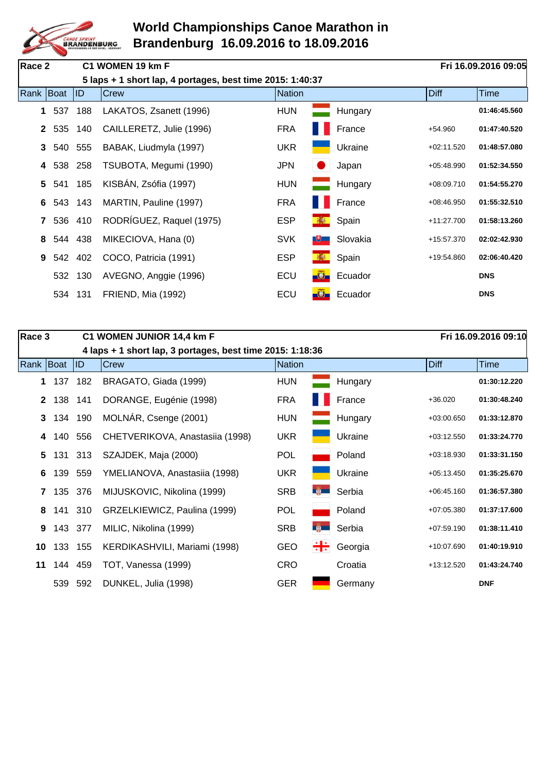

| Race 2      |     |         | C1 WOMEN 19 km F                                          |               |                |          |              | Fri 16.09.2016 09:05 |
|-------------|-----|---------|-----------------------------------------------------------|---------------|----------------|----------|--------------|----------------------|
|             |     |         | 5 laps + 1 short lap, 4 portages, best time 2015: 1:40:37 |               |                |          |              |                      |
| Rank Boat   |     | ID      | <b>Crew</b>                                               | <b>Nation</b> |                |          | <b>Diff</b>  | Time                 |
| 1           | 537 | 188     | LAKATOS, Zsanett (1996)                                   | <b>HUN</b>    |                | Hungary  |              | 01:46:45.560         |
| $2^{\circ}$ | 535 | 140     | CAILLERETZ, Julie (1996)                                  | <b>FRA</b>    |                | France   | $+54.960$    | 01:47:40.520         |
| 3           |     | 540 555 | BABAK, Liudmyla (1997)                                    | <b>UKR</b>    |                | Ukraine  | $+02:11.520$ | 01:48:57.080         |
| 4           | 538 | 258     | TSUBOTA, Megumi (1990)                                    | <b>JPN</b>    |                | Japan    | $+05:48.990$ | 01:52:34.550         |
| 5           | 541 | 185     | KISBÁN, Zsófia (1997)                                     | <b>HUN</b>    |                | Hungary  | $+08:09.710$ | 01:54:55.270         |
| 6           |     | 543 143 | MARTIN, Pauline (1997)                                    | <b>FRA</b>    |                | France   | $+08:46.950$ | 01:55:32.510         |
|             |     | 536 410 | RODRÍGUEZ, Raquel (1975)                                  | <b>ESP</b>    | 極              | Spain    | +11:27.700   | 01:58:13.260         |
| 8           |     | 544 438 | MIKECIOVA, Hana (0)                                       | <b>SVK</b>    | ्⊎             | Slovakia | +15:57.370   | 02:02:42.930         |
| 9           |     | 542 402 | COCO, Patricia (1991)                                     | <b>ESP</b>    |                | Spain    | +19:54.860   | 02:06:40.420         |
|             |     | 532 130 | AVEGNO, Anggie (1996)                                     | ECU           | $-\widehat{O}$ | Ecuador  |              | <b>DNS</b>           |
|             | 534 | 131     | FRIEND, Mia (1992)                                        | ECU           |                | Ecuador  |              | <b>DNS</b>           |

| Race 3       |         |         | C1 WOMEN JUNIOR 14,4 km F                                 |               |              |         |              | Fri 16.09.2016 09:10 |
|--------------|---------|---------|-----------------------------------------------------------|---------------|--------------|---------|--------------|----------------------|
|              |         |         | 4 laps + 1 short lap, 3 portages, best time 2015: 1:18:36 |               |              |         |              |                      |
| Rank   Boat  |         | ID      | Crew                                                      | <b>Nation</b> |              |         | Diff         | <b>Time</b>          |
| 1            | 137     | 182     | BRAGATO, Giada (1999)                                     | <b>HUN</b>    |              | Hungary |              | 01:30:12.220         |
| $\mathbf{2}$ | 138     | 141     | DORANGE, Eugénie (1998)                                   | <b>FRA</b>    |              | France  | $+36.020$    | 01:30:48.240         |
| 3            | 134 190 |         | MOLNÁR, Csenge (2001)                                     | <b>HUN</b>    |              | Hungary | $+03:00.650$ | 01:33:12.870         |
| 4            | 140     | 556     | CHETVERIKOVA, Anastasiia (1998)                           | <b>UKR</b>    |              | Ukraine | $+03:12.550$ | 01:33:24.770         |
| 5            | 131     | 313     | SZAJDEK, Maja (2000)                                      | <b>POL</b>    |              | Poland  | $+03:18.930$ | 01:33:31.150         |
| 6            | 139     | 559     | YMELIANOVA, Anastasiia (1998)                             | <b>UKR</b>    |              | Ukraine | $+05:13.450$ | 01:35:25.670         |
|              | 7 135   | 376     | MIJUSKOVIC, Nikolina (1999)                               | <b>SRB</b>    | <b>B</b>     | Serbia  | $+06:45.160$ | 01:36:57.380         |
| 8            |         | 141 310 | GRZELKIEWICZ, Paulina (1999)                              | <b>POL</b>    |              | Poland  | $+07:05.380$ | 01:37:17.600         |
| 9            | 143 377 |         | MILIC, Nikolina (1999)                                    | <b>SRB</b>    | <b>Legal</b> | Serbia  | $+07:59.190$ | 01:38:11.410         |
| 10           | 133     | 155     | KERDIKASHVILI, Mariami (1998)                             | <b>GEO</b>    | ÷÷           | Georgia | +10:07.690   | 01:40:19.910         |
| 11           | 144 459 |         | TOT, Vanessa (1999)                                       | <b>CRO</b>    |              | Croatia | $+13:12.520$ | 01:43:24.740         |
|              | 539     | 592     | DUNKEL, Julia (1998)                                      | <b>GER</b>    |              | Germany |              | <b>DNF</b>           |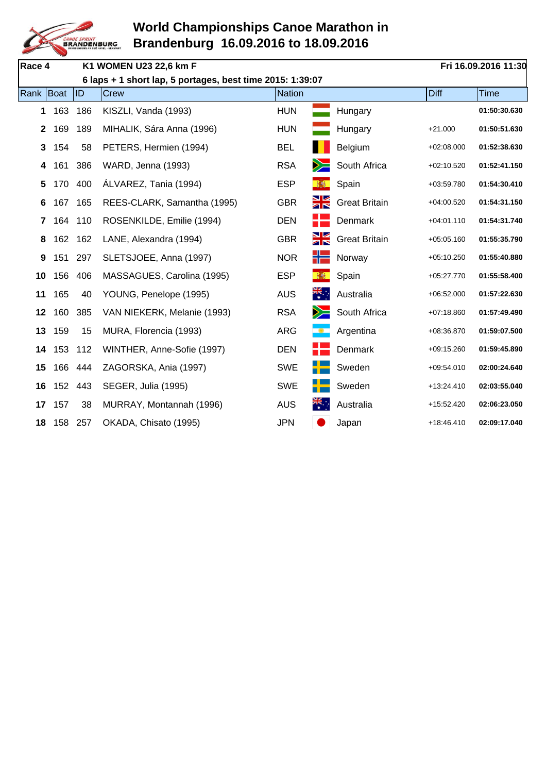

| Race 4       |         |     | K1 WOMEN U23 22,6 km F                                    |            |                         |                      |              | Fri 16.09.2016 11:30 |
|--------------|---------|-----|-----------------------------------------------------------|------------|-------------------------|----------------------|--------------|----------------------|
|              |         |     | 6 laps + 1 short lap, 5 portages, best time 2015: 1:39:07 |            |                         |                      |              |                      |
| Rank Boat    |         | ID  | Crew                                                      | Nation     |                         |                      | <b>Diff</b>  | <b>Time</b>          |
| 1            | 163     | 186 | KISZLI, Vanda (1993)                                      | <b>HUN</b> |                         | Hungary              |              | 01:50:30.630         |
| $\mathbf{2}$ | 169     | 189 | MIHALIK, Sára Anna (1996)                                 | <b>HUN</b> |                         | Hungary              | $+21.000$    | 01:50:51.630         |
| 3            | 154     | 58  | PETERS, Hermien (1994)                                    | <b>BEL</b> |                         | Belgium              | $+02:08.000$ | 01:52:38.630         |
| 4            | 161     | 386 | WARD, Jenna (1993)                                        | <b>RSA</b> |                         | South Africa         | $+02:10.520$ | 01:52:41.150         |
| 5            | 170     | 400 | ÁLVAREZ, Tania (1994)                                     | <b>ESP</b> | 琳                       | Spain                | +03:59.780   | 01:54:30.410         |
| 6            | 167     | 165 | REES-CLARK, Samantha (1995)                               | <b>GBR</b> | ŽК                      | <b>Great Britain</b> | $+04:00.520$ | 01:54:31.150         |
| 7            | 164     | 110 | ROSENKILDE, Emilie (1994)                                 | <b>DEN</b> |                         | Denmark              | $+04:01.110$ | 01:54:31.740         |
| 8            | 162     | 162 | LANE, Alexandra (1994)                                    | <b>GBR</b> | Ж                       | <b>Great Britain</b> | $+05:05.160$ | 01:55:35.790         |
| 9            | 151     | 297 | SLETSJOEE, Anna (1997)                                    | <b>NOR</b> | ۲۲                      | Norway               | $+05:10.250$ | 01:55:40.880         |
| 10           | 156     | 406 | MASSAGUES, Carolina (1995)                                | <b>ESP</b> |                         | Spain                | $+05:27.770$ | 01:55:58.400         |
| 11           | 165     | 40  | YOUNG, Penelope (1995)                                    | <b>AUS</b> | $\frac{2\pi}{\pi}$ .    | Australia            | $+06:52.000$ | 01:57:22.630         |
| 12           | 160     | 385 | VAN NIEKERK, Melanie (1993)                               | <b>RSA</b> |                         | South Africa         | $+07:18.860$ | 01:57:49.490         |
| 13           | 159     | 15  | MURA, Florencia (1993)                                    | <b>ARG</b> |                         | Argentina            | +08:36.870   | 01:59:07.500         |
| 14           | 153     | 112 | WINTHER, Anne-Sofie (1997)                                | <b>DEN</b> |                         | Denmark              | $+09:15.260$ | 01:59:45.890         |
| 15           | 166     | 444 | ZAGORSKA, Ania (1997)                                     | <b>SWE</b> |                         | Sweden               | $+09:54.010$ | 02:00:24.640         |
| 16           | 152 443 |     | SEGER, Julia (1995)                                       | <b>SWE</b> |                         | Sweden               | +13:24.410   | 02:03:55.040         |
| 17           | 157     | 38  | MURRAY, Montannah (1996)                                  | <b>AUS</b> | $\overline{\mathbf{z}}$ | Australia            | +15:52.420   | 02:06:23.050         |
| 18           | 158     | 257 | OKADA, Chisato (1995)                                     | <b>JPN</b> |                         | Japan                | +18:46.410   | 02:09:17.040         |
|              |         |     |                                                           |            |                         |                      |              |                      |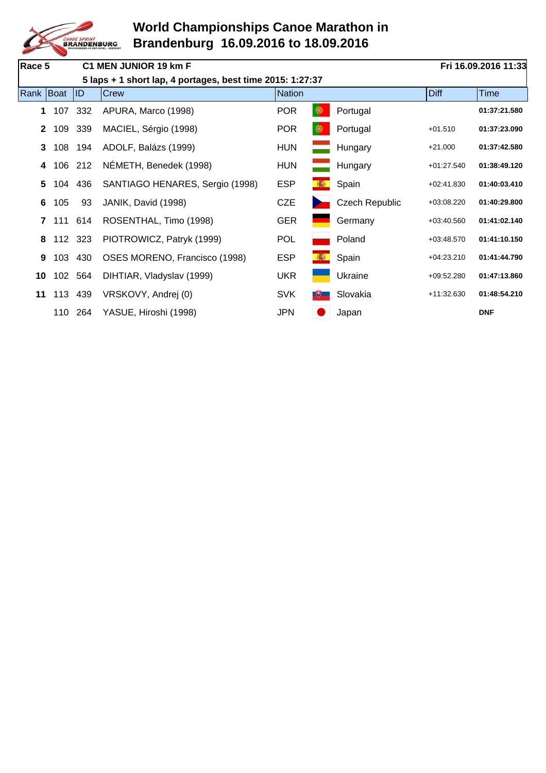

| Race 5       |       |         | C1 MEN JUNIOR 19 km F                                     |               | Fri 16.09.2016 11:33 |                       |              |              |
|--------------|-------|---------|-----------------------------------------------------------|---------------|----------------------|-----------------------|--------------|--------------|
|              |       |         | 5 laps + 1 short lap, 4 portages, best time 2015: 1:27:37 |               |                      |                       |              |              |
| Rank Boat    |       | ID      | Crew                                                      | <b>Nation</b> |                      |                       | Diff         | <b>Time</b>  |
| 1            | 107   | 332     | APURA, Marco (1998)                                       | <b>POR</b>    | ❀                    | Portugal              |              | 01:37:21.580 |
| $\mathbf{2}$ | 109   | 339     | MACIEL, Sérgio (1998)                                     | <b>POR</b>    | ◉                    | Portugal              | $+01.510$    | 01:37:23.090 |
| 3            | 108   | 194     | ADOLF, Balázs (1999)                                      | <b>HUN</b>    | <u>a sa sa</u>       | Hungary               | $+21.000$    | 01:37:42.580 |
| 4            | 106   | 212     | NÉMETH, Benedek (1998)                                    | <b>HUN</b>    |                      | Hungary               | $+01:27.540$ | 01:38:49.120 |
| 5            | 104   | 436     | SANTIAGO HENARES, Sergio (1998)                           | <b>ESP</b>    |                      | Spain                 | $+02:41.830$ | 01:40:03.410 |
| 6            | 105   | 93      | JANIK, David (1998)                                       | <b>CZE</b>    |                      | <b>Czech Republic</b> | $+03:08.220$ | 01:40:29.800 |
|              | 7 111 | 614     | ROSENTHAL, Timo (1998)                                    | <b>GER</b>    |                      | Germany               | $+03:40.560$ | 01:41:02.140 |
| 8            |       | 112 323 | PIOTROWICZ, Patryk (1999)                                 | <b>POL</b>    |                      | Poland                | $+03:48.570$ | 01:41:10.150 |
| 9            | 103   | 430     | OSES MORENO, Francisco (1998)                             | <b>ESP</b>    |                      | Spain                 | $+04:23.210$ | 01:41:44.790 |
| 10           | 102   | 564     | DIHTIAR, Vladyslav (1999)                                 | <b>UKR</b>    |                      | Ukraine               | $+09:52.280$ | 01:47:13.860 |
| 11           | 113   | 439     | VRSKOVY, Andrej (0)                                       | <b>SVK</b>    | $\mathbb{R}$         | Slovakia              | $+11:32.630$ | 01:48:54.210 |
|              | 110   | 264     | YASUE, Hiroshi (1998)                                     | <b>JPN</b>    |                      | Japan                 |              | <b>DNF</b>   |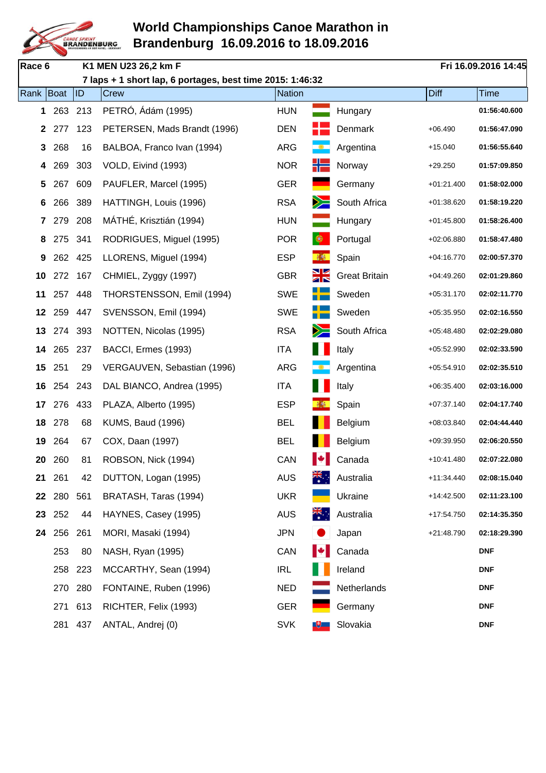

| Race 6          |     |         | K1 MEN U23 26,2 km F                                      |               |                      |                      |              | Fri 16.09.2016 14:45 |
|-----------------|-----|---------|-----------------------------------------------------------|---------------|----------------------|----------------------|--------------|----------------------|
|                 |     |         | 7 laps + 1 short lap, 6 portages, best time 2015: 1:46:32 |               |                      |                      |              |                      |
| Rank   Boat     |     | ID      | <b>Crew</b>                                               | <b>Nation</b> |                      |                      | <b>Diff</b>  | <b>Time</b>          |
| 1               | 263 | 213     | PETRÓ, Ádám (1995)                                        | <b>HUN</b>    |                      | Hungary              |              | 01:56:40.600         |
| $\mathbf{2}$    | 277 | 123     | PETERSEN, Mads Brandt (1996)                              | <b>DEN</b>    |                      | Denmark              | $+06.490$    | 01:56:47.090         |
| 3               | 268 | 16      | BALBOA, Franco Ivan (1994)                                | <b>ARG</b>    |                      | Argentina            | +15.040      | 01:56:55.640         |
| 4               | 269 | 303     | VOLD, Eivind (1993)                                       | <b>NOR</b>    |                      | Norway               | $+29.250$    | 01:57:09.850         |
| 5               | 267 | 609     | PAUFLER, Marcel (1995)                                    | <b>GER</b>    |                      | Germany              | $+01:21.400$ | 01:58:02.000         |
| 6               | 266 | 389     | HATTINGH, Louis (1996)                                    | <b>RSA</b>    | $\geq$               | South Africa         | $+01:38.620$ | 01:58:19.220         |
| 7               | 279 | 208     | MÁTHÉ, Krisztián (1994)                                   | <b>HUN</b>    |                      | Hungary              | $+01:45.800$ | 01:58:26.400         |
| 8               | 275 | 341     | RODRIGUES, Miguel (1995)                                  | <b>POR</b>    | $\circledast$        | Portugal             | $+02:06.880$ | 01:58:47.480         |
| 9               | 262 | 425     | LLORENS, Miguel (1994)                                    | <b>ESP</b>    |                      | Spain                | $+04:16.770$ | 02:00:57.370         |
| 10              | 272 | 167     | CHMIEL, Zyggy (1997)                                      | <b>GBR</b>    | Ж                    | <b>Great Britain</b> | $+04:49.260$ | 02:01:29.860         |
| 11              | 257 | 448     | THORSTENSSON, Emil (1994)                                 | <b>SWE</b>    |                      | Sweden               | $+05:31.170$ | 02:02:11.770         |
| 12 <sub>2</sub> | 259 | 447     | SVENSSON, Emil (1994)                                     | <b>SWE</b>    |                      | Sweden               | $+05:35.950$ | 02:02:16.550         |
| 13              | 274 | 393     | NOTTEN, Nicolas (1995)                                    | <b>RSA</b>    |                      | South Africa         | $+05:48.480$ | 02:02:29.080         |
| 14              | 265 | 237     | BACCI, Ermes (1993)                                       | <b>ITA</b>    |                      | Italy                | $+05:52.990$ | 02:02:33.590         |
| 15              | 251 | 29      | VERGAUVEN, Sebastian (1996)                               | <b>ARG</b>    |                      | Argentina            | $+05:54.910$ | 02:02:35.510         |
| 16              | 254 | 243     | DAL BIANCO, Andrea (1995)                                 | <b>ITA</b>    |                      | Italy                | $+06:35.400$ | 02:03:16.000         |
| 17              | 276 | 433     | PLAZA, Alberto (1995)                                     | <b>ESP</b>    |                      | Spain                | $+07:37.140$ | 02:04:17.740         |
| 18              | 278 | 68      | <b>KUMS, Baud (1996)</b>                                  | <b>BEL</b>    |                      | Belgium              | +08:03.840   | 02:04:44.440         |
| 19              | 264 | 67      | COX, Daan (1997)                                          | <b>BEL</b>    |                      | Belgium              | +09:39.950   | 02:06:20.550         |
| 20              | 260 | 81      | ROBSON, Nick (1994)                                       | CAN           | ∎⊕                   | Canada               | +10:41.480   | 02:07:22.080         |
| 21              | 261 | 42      | DUTTON, Logan (1995)                                      | <b>AUS</b>    | $\frac{2}{\sqrt{2}}$ | Australia            | +11:34.440   | 02:08:15.040         |
| 22              | 280 | 561     | BRATASH, Taras (1994)                                     | <b>UKR</b>    |                      | Ukraine              | +14:42.500   | 02:11:23.100         |
| 23              | 252 | 44      | HAYNES, Casey (1995)                                      | <b>AUS</b>    | $\frac{2}{\sqrt{2}}$ | Australia            | +17:54.750   | 02:14:35.350         |
| 24              | 256 | 261     | MORI, Masaki (1994)                                       | <b>JPN</b>    |                      | Japan                | $+21:48.790$ | 02:18:29.390         |
|                 | 253 | 80      | NASH, Ryan (1995)                                         | CAN           |                      | Canada               |              | <b>DNF</b>           |
|                 | 258 | 223     | MCCARTHY, Sean (1994)                                     | <b>IRL</b>    |                      | Ireland              |              | <b>DNF</b>           |
|                 |     | 270 280 | FONTAINE, Ruben (1996)                                    | <b>NED</b>    |                      | Netherlands          |              | <b>DNF</b>           |
|                 | 271 | 613     | RICHTER, Felix (1993)                                     | <b>GER</b>    |                      | Germany              |              | <b>DNF</b>           |
|                 | 281 | 437     | ANTAL, Andrej (0)                                         | <b>SVK</b>    | $\mathbb{R}^+$       | Slovakia             |              | <b>DNF</b>           |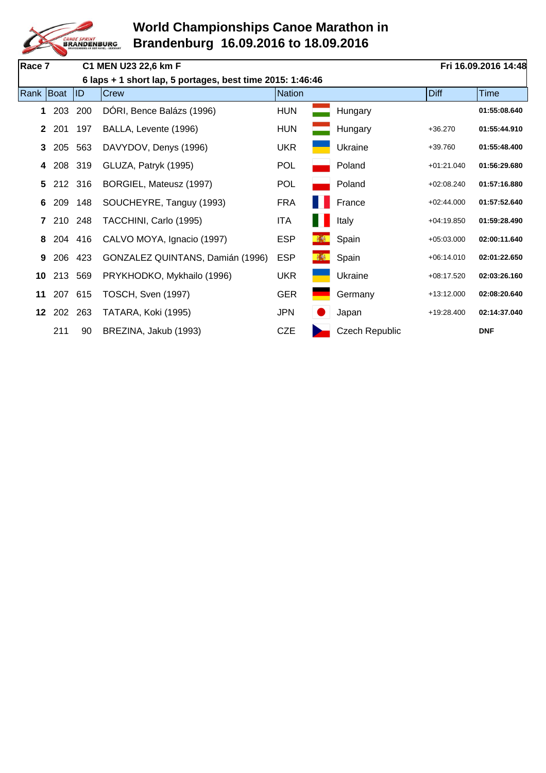

| Race 7       |         |     | C1 MEN U23 22,6 km F                                      |            |   |                       |              | Fri 16.09.2016 14:48 |
|--------------|---------|-----|-----------------------------------------------------------|------------|---|-----------------------|--------------|----------------------|
|              |         |     | 6 laps + 1 short lap, 5 portages, best time 2015: 1:46:46 |            |   |                       |              |                      |
| Rank Boat    |         | ID  | Crew                                                      | Nation     |   |                       | <b>Diff</b>  | <b>Time</b>          |
| 1            | 203     | 200 | DÓRI, Bence Balázs (1996)                                 | <b>HUN</b> |   | Hungary               |              | 01:55:08.640         |
| $\mathbf{2}$ | 201     | 197 | BALLA, Levente (1996)                                     | <b>HUN</b> |   | Hungary               | $+36.270$    | 01:55:44.910         |
| 3            | 205     | 563 | DAVYDOV, Denys (1996)                                     | <b>UKR</b> |   | Ukraine               | $+39.760$    | 01:55:48.400         |
| 4            | 208     | 319 | GLUZA, Patryk (1995)                                      | <b>POL</b> |   | Poland                | $+01:21.040$ | 01:56:29.680         |
| 5            | 212 316 |     | BORGIEL, Mateusz (1997)                                   | <b>POL</b> |   | Poland                | $+02:08.240$ | 01:57:16.880         |
| 6            | 209     | 148 | SOUCHEYRE, Tanguy (1993)                                  | <b>FRA</b> |   | France                | $+02:44.000$ | 01:57:52.640         |
|              | 7 210   | 248 | TACCHINI, Carlo (1995)                                    | <b>ITA</b> |   | Italy                 | $+04:19.850$ | 01:59:28.490         |
| 8            | 204 416 |     | CALVO MOYA, Ignacio (1997)                                | <b>ESP</b> | 赛 | Spain                 | $+05:03.000$ | 02:00:11.640         |
| 9            | 206 423 |     | GONZALEZ QUINTANS, Damián (1996)                          | <b>ESP</b> | 赫 | Spain                 | $+06:14.010$ | 02:01:22.650         |
| 10           | 213     | 569 | PRYKHODKO, Mykhailo (1996)                                | <b>UKR</b> |   | Ukraine               | +08:17.520   | 02:03:26.160         |
| 11           | 207 615 |     | TOSCH, Sven (1997)                                        | <b>GER</b> |   | Germany               | +13:12.000   | 02:08:20.640         |
|              | 12 202  | 263 | TATARA, Koki (1995)                                       | <b>JPN</b> |   | Japan                 | +19:28.400   | 02:14:37.040         |
|              | 211     | 90  | BREZINA, Jakub (1993)                                     | <b>CZE</b> |   | <b>Czech Republic</b> |              | <b>DNF</b>           |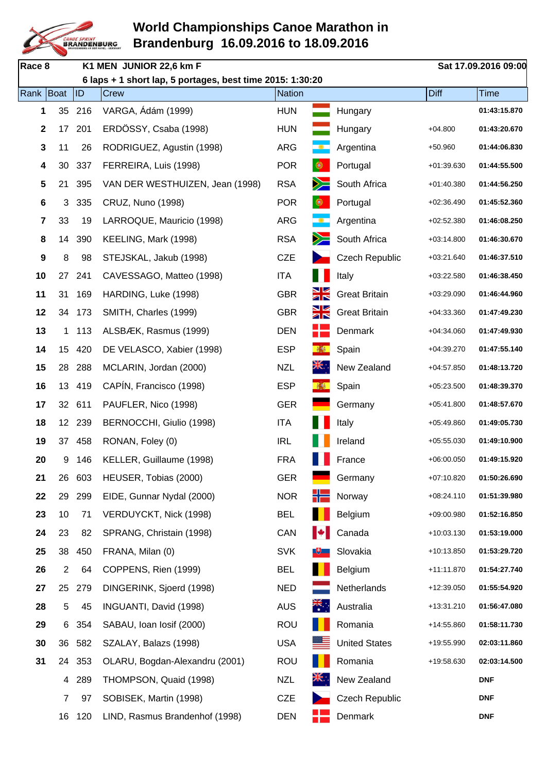

| Race 8      |                |        | K1 MEN JUNIOR 22,6 km F                                   |               |                      |                       |              | Sat 17.09.2016 09:00 |
|-------------|----------------|--------|-----------------------------------------------------------|---------------|----------------------|-----------------------|--------------|----------------------|
|             |                |        | 6 laps + 1 short lap, 5 portages, best time 2015: 1:30:20 |               |                      |                       |              |                      |
| Rank Boat   |                | ID     | Crew                                                      | <b>Nation</b> |                      |                       | Diff         | <b>Time</b>          |
| 1           | 35             | 216    | VARGA, Ádám (1999)                                        | <b>HUN</b>    |                      | Hungary               |              | 01:43:15.870         |
| $\mathbf 2$ | 17             | 201    | ERDÖSSY, Csaba (1998)                                     | <b>HUN</b>    |                      | Hungary               | $+04.800$    | 01:43:20.670         |
| 3           | 11             | 26     | RODRIGUEZ, Agustin (1998)                                 | <b>ARG</b>    |                      | Argentina             | $+50.960$    | 01:44:06.830         |
| 4           | 30             | 337    | FERREIRA, Luis (1998)                                     | <b>POR</b>    | $\bullet$            | Portugal              | $+01:39.630$ | 01:44:55.500         |
| 5           | 21             | 395    | VAN DER WESTHUIZEN, Jean (1998)                           | <b>RSA</b>    | $\geq$               | South Africa          | $+01:40.380$ | 01:44:56.250         |
| 6           | 3              | 335    | CRUZ, Nuno (1998)                                         | <b>POR</b>    | $\bullet$            | Portugal              | $+02:36.490$ | 01:45:52.360         |
| 7           | 33             | 19     | LARROQUE, Mauricio (1998)                                 | <b>ARG</b>    |                      | Argentina             | $+02:52.380$ | 01:46:08.250         |
| 8           | 14             | 390    | KEELING, Mark (1998)                                      | <b>RSA</b>    |                      | South Africa          | $+03:14.800$ | 01:46:30.670         |
| 9           | 8              | 98     | STEJSKAL, Jakub (1998)                                    | <b>CZE</b>    |                      | <b>Czech Republic</b> | $+03:21.640$ | 01:46:37.510         |
| 10          | 27             | 241    | CAVESSAGO, Matteo (1998)                                  | <b>ITA</b>    |                      | Italy                 | $+03:22.580$ | 01:46:38.450         |
| 11          | 31             | 169    | HARDING, Luke (1998)                                      | <b>GBR</b>    | Ж                    | <b>Great Britain</b>  | $+03:29.090$ | 01:46:44.960         |
| 12          | 34             | 173    | SMITH, Charles (1999)                                     | <b>GBR</b>    | Ж                    | <b>Great Britain</b>  | $+04:33.360$ | 01:47:49.230         |
| 13          | 1              | 113    | ALSBÆK, Rasmus (1999)                                     | <b>DEN</b>    |                      | Denmark               | $+04:34.060$ | 01:47:49.930         |
| 14          |                | 15 420 | DE VELASCO, Xabier (1998)                                 | <b>ESP</b>    | 挑                    | Spain                 | $+04:39.270$ | 01:47:55.140         |
| 15          | 28             | 288    | MCLARIN, Jordan (2000)                                    | <b>NZL</b>    | NK.                  | New Zealand           | $+04:57.850$ | 01:48:13.720         |
| 16          | 13             | 419    | CAPÍN, Francisco (1998)                                   | <b>ESP</b>    |                      | Spain                 | $+05:23.500$ | 01:48:39.370         |
| 17          |                | 32 611 | PAUFLER, Nico (1998)                                      | <b>GER</b>    |                      | Germany               | $+05:41.800$ | 01:48:57.670         |
| 18          | 12             | 239    | BERNOCCHI, Giulio (1998)                                  | <b>ITA</b>    |                      | Italy                 | +05:49.860   | 01:49:05.730         |
| 19          | 37             | 458    | RONAN, Foley (0)                                          | <b>IRL</b>    |                      | Ireland               | $+05:55.030$ | 01:49:10.900         |
| 20          | 9              | 146    | KELLER, Guillaume (1998)                                  | <b>FRA</b>    |                      | France                | $+06:00.050$ | 01:49:15.920         |
| 21          | 26             | 603    | HEUSER, Tobias (2000)                                     | <b>GER</b>    |                      | Germany               | $+07:10.820$ | 01:50:26.690         |
| 22          | 29             | 299    | EIDE, Gunnar Nydal (2000)                                 | <b>NOR</b>    | ╬═                   | Norway                | $+08:24.110$ | 01:51:39.980         |
| 23          | 10             | 71     | VERDUYCKT, Nick (1998)                                    | <b>BEL</b>    |                      | Belgium               | +09:00.980   | 01:52:16.850         |
| 24          | 23             | 82     | SPRANG, Christain (1998)                                  | CAN           | ▮₩                   | Canada                | $+10:03.130$ | 01:53:19.000         |
| 25          | 38             | 450    | FRANA, Milan (0)                                          | <b>SVK</b>    |                      | Slovakia              | +10:13.850   | 01:53:29.720         |
| 26          | 2              | 64     | COPPENS, Rien (1999)                                      | <b>BEL</b>    |                      | Belgium               | +11:11.870   | 01:54:27.740         |
| 27          | 25             | 279    | DINGERINK, Sjoerd (1998)                                  | <b>NED</b>    |                      | Netherlands           | +12:39.050   | 01:55:54.920         |
| 28          | 5              | 45     | INGUANTI, David (1998)                                    | <b>AUS</b>    | $\frac{1}{\sqrt{2}}$ | Australia             | +13:31.210   | 01:56:47.080         |
| 29          | 6              | 354    | SABAU, Ioan Iosif (2000)                                  | <b>ROU</b>    |                      | Romania               | +14:55.860   | 01:58:11.730         |
| 30          | 36             | 582    | SZALAY, Balazs (1998)                                     | <b>USA</b>    |                      | <b>United States</b>  | +19:55.990   | 02:03:11.860         |
| 31          | 24             | 353    | OLARU, Bogdan-Alexandru (2001)                            | <b>ROU</b>    |                      | Romania               | +19:58.630   | 02:03:14.500         |
|             |                | 4 289  | THOMPSON, Quaid (1998)                                    | <b>NZL</b>    | <b>XK.</b> .         | New Zealand           |              | <b>DNF</b>           |
|             | $\overline{7}$ | 97     | SOBISEK, Martin (1998)                                    | <b>CZE</b>    |                      | <b>Czech Republic</b> |              | <b>DNF</b>           |
|             | 16             | 120    | LIND, Rasmus Brandenhof (1998)                            | <b>DEN</b>    |                      | Denmark               |              | <b>DNF</b>           |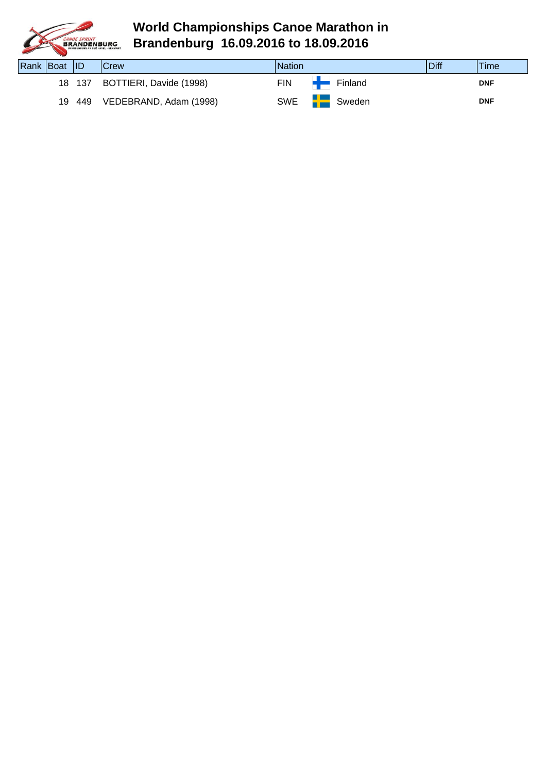

| Rank Boat ID |        | <b>Crew</b>                    | <b>Nation</b>   |                        | Diff | <b>Time</b> |
|--------------|--------|--------------------------------|-----------------|------------------------|------|-------------|
|              |        | 18 137 BOTTIERI, Davide (1998) | <b>FIN</b>      | $\blacksquare$ Finland |      | <b>DNF</b>  |
|              | 19 449 | VEDEBRAND, Adam (1998)         | SWE <b>Fig.</b> | Sweden                 |      | <b>DNF</b>  |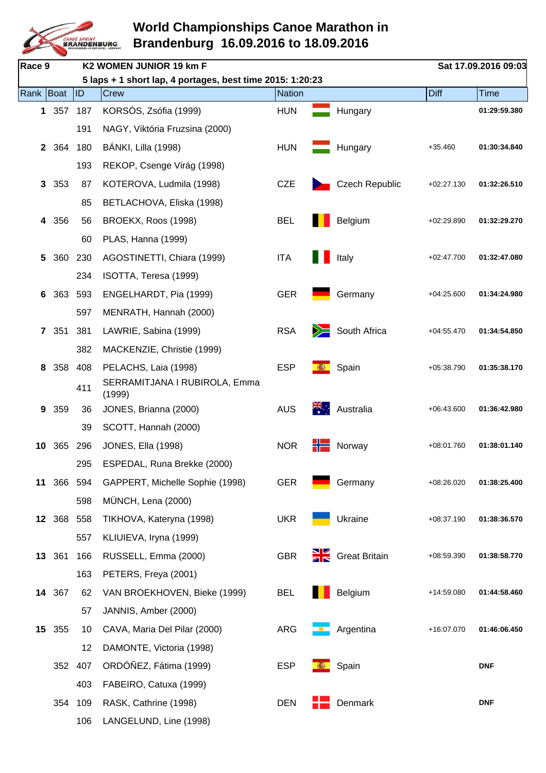

| Race 9          |            |         | K2 WOMEN JUNIOR 19 km F                                   |               |                        |              | Sat 17.09.2016 09:03 |
|-----------------|------------|---------|-----------------------------------------------------------|---------------|------------------------|--------------|----------------------|
|                 |            |         | 5 laps + 1 short lap, 4 portages, best time 2015: 1:20:23 |               |                        |              |                      |
| Rank Boat       |            | ID      | Crew                                                      | <b>Nation</b> |                        | <b>Diff</b>  | <b>Time</b>          |
|                 | 1 357      | 187     | KORSÓS, Zsófia (1999)                                     | <b>HUN</b>    | Hungary                |              | 01:29:59.380         |
|                 |            | 191     | NAGY, Viktória Fruzsina (2000)                            |               |                        |              |                      |
| $\mathbf{2}$    | 364        | 180     | <b>BÁNKI, Lilla (1998)</b>                                | <b>HUN</b>    | Hungary                | $+35.460$    | 01:30:34.840         |
|                 |            | 193     | REKOP, Csenge Virág (1998)                                |               |                        |              |                      |
| 3               | 353        | 87      | KOTEROVA, Ludmila (1998)                                  | <b>CZE</b>    | <b>Czech Republic</b>  | $+02:27.130$ | 01:32:26.510         |
|                 |            | 85      | BETLACHOVA, Eliska (1998)                                 |               |                        |              |                      |
| 4               | 356        | 56      | BROEKX, Roos (1998)                                       | <b>BEL</b>    | Belgium                | $+02:29.890$ | 01:32:29.270         |
|                 |            | 60      | PLAS, Hanna (1999)                                        |               |                        |              |                      |
| 5               | 360        | 230     | AGOSTINETTI, Chiara (1999)                                | <b>ITA</b>    | Italy                  | $+02:47.700$ | 01:32:47.080         |
|                 |            | 234     | ISOTTA, Teresa (1999)                                     |               |                        |              |                      |
| 6               | 363        | 593     | ENGELHARDT, Pia (1999)                                    | <b>GER</b>    | Germany                | $+04:25.600$ | 01:34:24.980         |
|                 |            | 597     | MENRATH, Hannah (2000)                                    |               |                        |              |                      |
| $\mathbf{7}$    | 351        | 381     | LAWRIE, Sabina (1999)                                     | <b>RSA</b>    | South Africa           | $+04:55.470$ | 01:34:54.850         |
|                 |            | 382     | MACKENZIE, Christie (1999)                                |               |                        |              |                      |
| 8               | 358        | 408     | PELACHS, Laia (1998)                                      | <b>ESP</b>    | Spain                  | +05:38.790   | 01:35:38.170         |
|                 |            | 411     | SERRAMITJANA I RUBIROLA, Emma<br>(1999)                   |               |                        |              |                      |
| 9               | 359        | 36      | JONES, Brianna (2000)                                     | <b>AUS</b>    | Australia              | $+06:43.600$ | 01:36:42.980         |
|                 |            | 39      | SCOTT, Hannah (2000)                                      |               |                        |              |                      |
| 10              | 365        | 296     | <b>JONES, Ella (1998)</b>                                 | <b>NOR</b>    | Norway                 | +08:01.760   | 01:38:01.140         |
|                 |            | 295     | ESPEDAL, Runa Brekke (2000)                               |               |                        |              |                      |
| 11              |            | 366 594 | GAPPERT, Michelle Sophie (1998)                           | <b>GER</b>    | Germany                | $+08:26.020$ | 01:38:25.400         |
|                 |            | 598     | MÜNCH, Lena (2000)                                        |               |                        |              |                      |
|                 | 12 368 558 |         | TIKHOVA, Kateryna (1998)                                  | <b>UKR</b>    | Ukraine                | $+08:37.190$ | 01:38:36.570         |
|                 |            | 557     | KLIUIEVA, Iryna (1999)                                    |               |                        |              |                      |
|                 | 13 361     | 166     | RUSSELL, Emma (2000)                                      | <b>GBR</b>    | <b>Signal Stritain</b> | +08:59.390   | 01:38:58.770         |
|                 |            | 163     | PETERS, Freya (2001)                                      |               |                        |              |                      |
|                 | 14 367     | 62      | VAN BROEKHOVEN, Bieke (1999)                              | <b>BEL</b>    | Belgium                | +14:59.080   | 01:44:58.460         |
|                 |            | 57      | JANNIS, Amber (2000)                                      |               |                        |              |                      |
| 15 <sub>1</sub> | 355        | 10      | CAVA, Maria Del Pilar (2000)                              | ARG           | Argentina              | +16:07.070   | 01:46:06.450         |
|                 |            | 12      | DAMONTE, Victoria (1998)                                  |               |                        |              |                      |
|                 | 352        | 407     | ORDÓÑEZ, Fátima (1999)                                    | <b>ESP</b>    | Spain                  |              | <b>DNF</b>           |
|                 |            | 403     | FABEIRO, Catuxa (1999)                                    |               |                        |              |                      |
|                 | 354        | 109     | RASK, Cathrine (1998)                                     | <b>DEN</b>    | Denmark                |              | <b>DNF</b>           |
|                 |            | 106     | LANGELUND, Line (1998)                                    |               |                        |              |                      |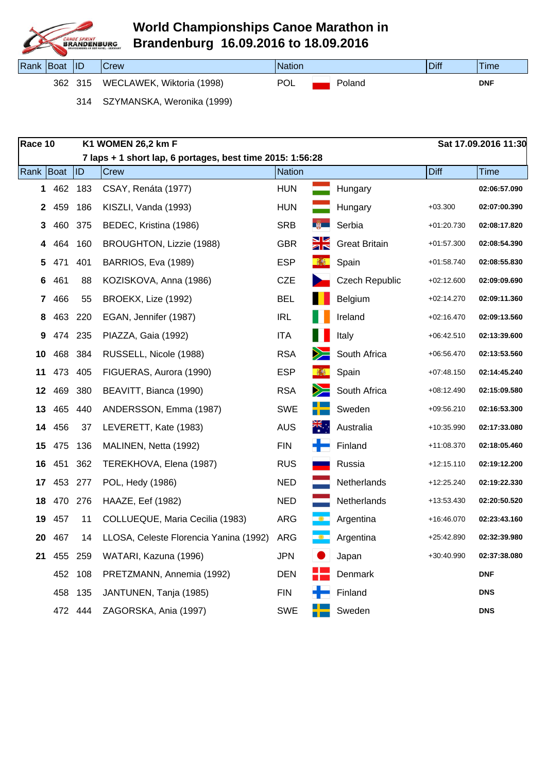

| Rank | <i><b>Boat</b></i> | IID | Crew                           | <b>Nation</b> |        | Diff | Time       |
|------|--------------------|-----|--------------------------------|---------------|--------|------|------------|
|      | 362                | 315 | , Wiktoria (1998)<br>WECLAWEK, | <b>POL</b>    | Poland |      | <b>DNF</b> |

314 SZYMANSKA, Weronika (1999)

| Race 10      |      |         | K1 WOMEN 26,2 km F                                        |               |                      |                       |              | Sat 17.09.2016 11:30 |
|--------------|------|---------|-----------------------------------------------------------|---------------|----------------------|-----------------------|--------------|----------------------|
|              |      |         | 7 laps + 1 short lap, 6 portages, best time 2015: 1:56:28 |               |                      |                       |              |                      |
| Rank         | Boat | ID      | Crew                                                      | <b>Nation</b> |                      |                       | <b>Diff</b>  | Time                 |
| 1            | 462  | 183     | CSAY, Renáta (1977)                                       | <b>HUN</b>    |                      | Hungary               |              | 02:06:57.090         |
| $\mathbf{2}$ | 459  | 186     | KISZLI, Vanda (1993)                                      | <b>HUN</b>    |                      | Hungary               | $+03.300$    | 02:07:00.390         |
| 3            | 460  | 375     | BEDEC, Kristina (1986)                                    | <b>SRB</b>    | 第一                   | Serbia                | +01:20.730   | 02:08:17.820         |
| 4            | 464  | 160     | BROUGHTON, Lizzie (1988)                                  | <b>GBR</b>    | XŘ                   | <b>Great Britain</b>  | $+01:57.300$ | 02:08:54.390         |
| 5            | 471  | 401     | BARRIOS, Eva (1989)                                       | <b>ESP</b>    | 都                    | Spain                 | $+01:58.740$ | 02:08:55.830         |
| 6            | 461  | 88      | KOZISKOVA, Anna (1986)                                    | <b>CZE</b>    |                      | <b>Czech Republic</b> | $+02:12.600$ | 02:09:09.690         |
| 7            | 466  | 55      | BROEKX, Lize (1992)                                       | <b>BEL</b>    |                      | Belgium               | $+02:14.270$ | 02:09:11.360         |
| 8            | 463  | 220     | EGAN, Jennifer (1987)                                     | <b>IRL</b>    |                      | Ireland               | $+02:16.470$ | 02:09:13.560         |
| 9            | 474  | 235     | PIAZZA, Gaia (1992)                                       | <b>ITA</b>    |                      | Italy                 | $+06:42.510$ | 02:13:39.600         |
| 10           | 468  | 384     | RUSSELL, Nicole (1988)                                    | <b>RSA</b>    | ➢                    | South Africa          | $+06:56.470$ | 02:13:53.560         |
| 11           | 473  | 405     | FIGUERAS, Aurora (1990)                                   | <b>ESP</b>    | 赫                    | Spain                 | $+07:48.150$ | 02:14:45.240         |
| 12           | 469  | 380     | BEAVITT, Bianca (1990)                                    | <b>RSA</b>    | y≍                   | South Africa          | $+08:12.490$ | 02:15:09.580         |
| 13           | 465  | 440     | ANDERSSON, Emma (1987)                                    | <b>SWE</b>    |                      | Sweden                | $+09:56.210$ | 02:16:53.300         |
| 14           | 456  | 37      | LEVERETT, Kate (1983)                                     | <b>AUS</b>    | $\frac{2\pi}{\pi}$ . | Australia             | +10:35.990   | 02:17:33.080         |
| 15           | 475  | 136     | MALINEN, Netta (1992)                                     | <b>FIN</b>    | - -                  | Finland               | +11:08.370   | 02:18:05.460         |
| 16           | 451  | 362     | TEREKHOVA, Elena (1987)                                   | <b>RUS</b>    |                      | Russia                | $+12:15.110$ | 02:19:12.200         |
| 17           | 453  | 277     | POL, Hedy (1986)                                          | <b>NED</b>    |                      | Netherlands           | +12:25.240   | 02:19:22.330         |
| 18           | 470  | 276     | HAAZE, Eef (1982)                                         | <b>NED</b>    |                      | Netherlands           | +13:53.430   | 02:20:50.520         |
| 19           | 457  | 11      | COLLUEQUE, Maria Cecilia (1983)                           | <b>ARG</b>    |                      | Argentina             | +16:46.070   | 02:23:43.160         |
| 20           | 467  | 14      | LLOSA, Celeste Florencia Yanina (1992)                    | <b>ARG</b>    |                      | Argentina             | +25:42.890   | 02:32:39.980         |
| 21           | 455  | 259     | WATARI, Kazuna (1996)                                     | <b>JPN</b>    |                      | Japan                 | +30:40.990   | 02:37:38.080         |
|              | 452  | 108     | PRETZMANN, Annemia (1992)                                 | DEN           |                      | Denmark               |              | <b>DNF</b>           |
|              | 458  | 135     | JANTUNEN, Tanja (1985)                                    | <b>FIN</b>    |                      | Finland               |              | <b>DNS</b>           |
|              |      | 472 444 | ZAGORSKA, Ania (1997)                                     | <b>SWE</b>    |                      | Sweden                |              | <b>DNS</b>           |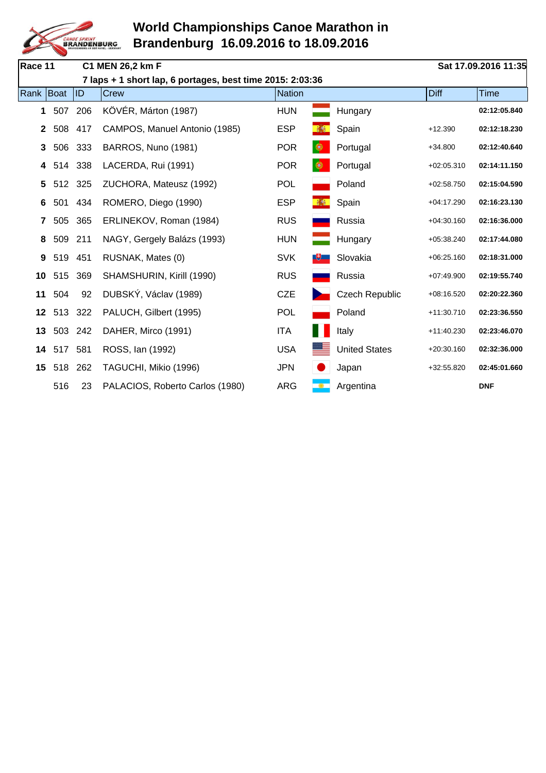

| Race 11      |     |     | C1 MEN 26,2 km F                                          |               |               |                       |              | Sat 17.09.2016 11:35 |
|--------------|-----|-----|-----------------------------------------------------------|---------------|---------------|-----------------------|--------------|----------------------|
|              |     |     | 7 laps + 1 short lap, 6 portages, best time 2015: 2:03:36 |               |               |                       |              |                      |
| Rank Boat    |     | ID  | <b>Crew</b>                                               | <b>Nation</b> |               |                       | Diff         | <b>Time</b>          |
| $\mathbf 1$  | 507 | 206 | KÖVÉR, Márton (1987)                                      | <b>HUN</b>    |               | Hungary               |              | 02:12:05.840         |
| $\mathbf{2}$ | 508 | 417 | CAMPOS, Manuel Antonio (1985)                             | <b>ESP</b>    |               | Spain                 | $+12.390$    | 02:12:18.230         |
| 3            | 506 | 333 | BARROS, Nuno (1981)                                       | <b>POR</b>    | ◉             | Portugal              | $+34.800$    | 02:12:40.640         |
| 4            | 514 | 338 | LACERDA, Rui (1991)                                       | <b>POR</b>    | $\circledast$ | Portugal              | $+02:05.310$ | 02:14:11.150         |
| 5            | 512 | 325 | ZUCHORA, Mateusz (1992)                                   | <b>POL</b>    |               | Poland                | $+02:58.750$ | 02:15:04.590         |
| 6            | 501 | 434 | ROMERO, Diego (1990)                                      | <b>ESP</b>    |               | Spain                 | $+04:17.290$ | 02:16:23.130         |
| 7            | 505 | 365 | ERLINEKOV, Roman (1984)                                   | <b>RUS</b>    |               | Russia                | $+04:30.160$ | 02:16:36.000         |
| 8            | 509 | 211 | NAGY, Gergely Balázs (1993)                               | <b>HUN</b>    |               | Hungary               | $+05:38.240$ | 02:17:44.080         |
| 9            | 519 | 451 | RUSNAK, Mates (0)                                         | <b>SVK</b>    |               | Slovakia              | $+06:25.160$ | 02:18:31.000         |
| 10           | 515 | 369 | SHAMSHURIN, Kirill (1990)                                 | <b>RUS</b>    |               | Russia                | $+07:49.900$ | 02:19:55.740         |
| 11           | 504 | 92  | DUBSKÝ, Václav (1989)                                     | <b>CZE</b>    |               | <b>Czech Republic</b> | $+08:16.520$ | 02:20:22.360         |
| 12           | 513 | 322 | PALUCH, Gilbert (1995)                                    | <b>POL</b>    |               | Poland                | +11:30.710   | 02:23:36.550         |
| 13           | 503 | 242 | DAHER, Mirco (1991)                                       | <b>ITA</b>    |               | Italy                 | +11:40.230   | 02:23:46.070         |
| 14           | 517 | 581 | ROSS, Ian (1992)                                          | <b>USA</b>    |               | <b>United States</b>  | $+20:30.160$ | 02:32:36.000         |
| 15           | 518 | 262 | TAGUCHI, Mikio (1996)                                     | <b>JPN</b>    |               | Japan                 | +32:55.820   | 02:45:01.660         |
|              | 516 | 23  | PALACIOS, Roberto Carlos (1980)                           | <b>ARG</b>    |               | Argentina             |              | <b>DNF</b>           |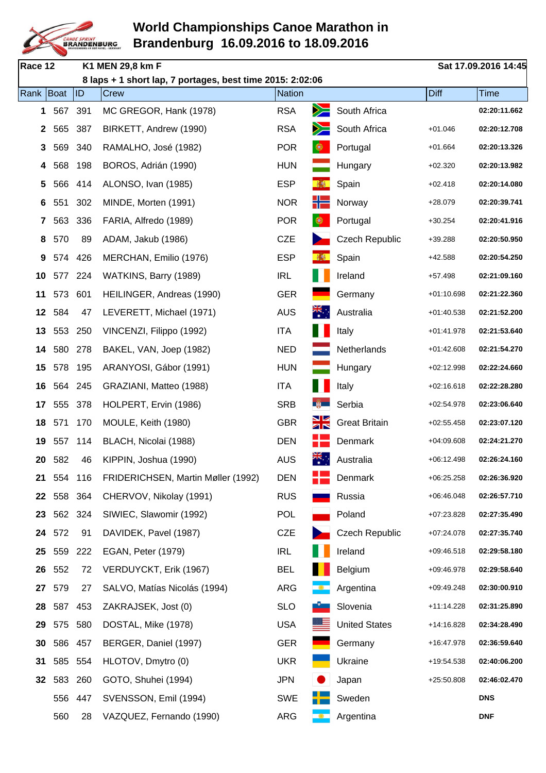

| Race 12      |     |         | K1 MEN 29,8 km F                                          |               |              |                       |              | Sat 17.09.2016 14:45 |
|--------------|-----|---------|-----------------------------------------------------------|---------------|--------------|-----------------------|--------------|----------------------|
|              |     |         | 8 laps + 1 short lap, 7 portages, best time 2015: 2:02:06 |               |              |                       |              |                      |
| Rank Boat    |     | ID      | Crew                                                      | <b>Nation</b> |              |                       | Diff         | <b>Time</b>          |
| 1            | 567 | 391     | MC GREGOR, Hank (1978)                                    | <b>RSA</b>    | ➢            | South Africa          |              | 02:20:11.662         |
| $\mathbf{2}$ | 565 | 387     | BIRKETT, Andrew (1990)                                    | <b>RSA</b>    |              | South Africa          | $+01.046$    | 02:20:12.708         |
| 3            | 569 | 340     | RAMALHO, José (1982)                                      | <b>POR</b>    | $\bigcirc$   | Portugal              | $+01.664$    | 02:20:13.326         |
| 4            | 568 | 198     | BOROS, Adrián (1990)                                      | <b>HUN</b>    |              | Hungary               | $+02.320$    | 02:20:13.982         |
| 5            | 566 | 414     | ALONSO, Ivan (1985)                                       | <b>ESP</b>    | 攝            | Spain                 | $+02.418$    | 02:20:14.080         |
| 6            | 551 | 302     | MINDE, Morten (1991)                                      | <b>NOR</b>    | ╬            | Norway                | $+28.079$    | 02:20:39.741         |
| 7            | 563 | 336     | FARIA, Alfredo (1989)                                     | <b>POR</b>    | ◈            | Portugal              | $+30.254$    | 02:20:41.916         |
| 8            | 570 | 89      | ADAM, Jakub (1986)                                        | <b>CZE</b>    |              | <b>Czech Republic</b> | $+39.288$    | 02:20:50.950         |
| 9            | 574 | 426     | MERCHAN, Emilio (1976)                                    | <b>ESP</b>    |              | Spain                 | $+42.588$    | 02:20:54.250         |
| 10           | 577 | 224     | WATKINS, Barry (1989)                                     | <b>IRL</b>    |              | Ireland               | $+57.498$    | 02:21:09.160         |
| 11           | 573 | 601     | HEILINGER, Andreas (1990)                                 | <b>GER</b>    |              | Germany               | $+01:10.698$ | 02:21:22.360         |
| 12           | 584 | 47      | LEVERETT, Michael (1971)                                  | <b>AUS</b>    | ्<br>भ≪<br>क | Australia             | $+01:40.538$ | 02:21:52.200         |
| 13           | 553 | 250     | VINCENZI, Filippo (1992)                                  | <b>ITA</b>    |              | Italy                 | $+01:41.978$ | 02:21:53.640         |
| 14           | 580 | 278     | BAKEL, VAN, Joep (1982)                                   | <b>NED</b>    |              | Netherlands           | $+01:42.608$ | 02:21:54.270         |
| 15           | 578 | 195     | ARANYOSI, Gábor (1991)                                    | <b>HUN</b>    |              | Hungary               | $+02:12.998$ | 02:22:24.660         |
| 16           | 564 | 245     | GRAZIANI, Matteo (1988)                                   | <b>ITA</b>    |              | Italy                 | $+02:16.618$ | 02:22:28.280         |
| 17           | 555 | 378     | HOLPERT, Ervin (1986)                                     | <b>SRB</b>    | $\mathbb{R}$ | Serbia                | $+02:54.978$ | 02:23:06.640         |
| 18           | 571 | 170     | MOULE, Keith (1980)                                       | <b>GBR</b>    | ŽК           | <b>Great Britain</b>  | $+02:55.458$ | 02:23:07.120         |
| 19           | 557 | 114     | BLACH, Nicolai (1988)                                     | <b>DEN</b>    |              | Denmark               | $+04:09.608$ | 02:24:21.270         |
| 20           | 582 | 46      | KIPPIN, Joshua (1990)                                     | <b>AUS</b>    | त्रँहे.∵     | Australia             | $+06:12.498$ | 02:26:24.160         |
| 21           | 554 | 116     | FRIDERICHSEN, Martin Møller (1992)                        | <b>DEN</b>    |              | Denmark               | $+06:25.258$ | 02:26:36.920         |
| 22           |     | 558 364 | CHERVOV, Nikolay (1991)                                   | <b>RUS</b>    |              | Russia                | $+06:46.048$ | 02:26:57.710         |
| 23           |     | 562 324 | SIWIEC, Slawomir (1992)                                   | <b>POL</b>    |              | Poland                | +07:23.828   | 02:27:35.490         |
| 24           | 572 | 91      | DAVIDEK, Pavel (1987)                                     | CZE           |              | <b>Czech Republic</b> | $+07:24.078$ | 02:27:35.740         |
| 25           | 559 | 222     | EGAN, Peter (1979)                                        | <b>IRL</b>    |              | Ireland               | $+09:46.518$ | 02:29:58.180         |
| 26           | 552 | 72      | VERDUYCKT, Erik (1967)                                    | <b>BEL</b>    |              | Belgium               | $+09:46.978$ | 02:29:58.640         |
| 27           | 579 | 27      | SALVO, Matías Nicolás (1994)                              | <b>ARG</b>    |              | Argentina             | +09:49.248   | 02:30:00.910         |
| 28           | 587 | 453     | ZAKRAJSEK, Jost (0)                                       | <b>SLO</b>    |              | Slovenia              | +11:14.228   | 02:31:25.890         |
| 29           | 575 | 580     | DOSTAL, Mike (1978)                                       | <b>USA</b>    |              | <b>United States</b>  | $+14:16.828$ | 02:34:28.490         |
| 30           | 586 | 457     | BERGER, Daniel (1997)                                     | <b>GER</b>    |              | Germany               | +16:47.978   | 02:36:59.640         |
| 31           | 585 | 554     | HLOTOV, Dmytro (0)                                        | <b>UKR</b>    |              | Ukraine               | +19:54.538   | 02:40:06.200         |
| 32           | 583 | 260     | GOTO, Shuhei (1994)                                       | <b>JPN</b>    |              | Japan                 | $+25:50.808$ | 02:46:02.470         |
|              | 556 | 447     | SVENSSON, Emil (1994)                                     | SWE           |              | Sweden                |              | <b>DNS</b>           |
|              | 560 | 28      | VAZQUEZ, Fernando (1990)                                  | ARG           |              | Argentina             |              | <b>DNF</b>           |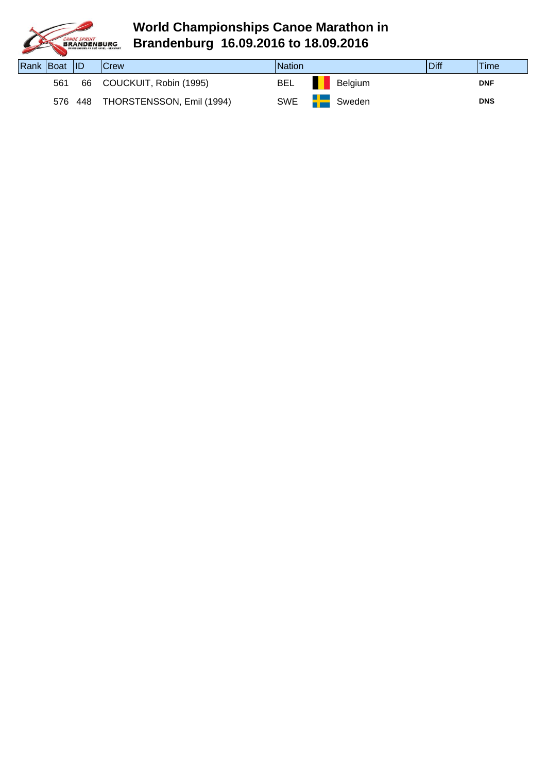

| Rank Boat ID |     |         | <b>Crew</b>               | <b>Nation</b> |                | Diff | Time       |
|--------------|-----|---------|---------------------------|---------------|----------------|------|------------|
|              | 561 |         | 66 COUCKUIT, Robin (1995) | BEL           | <b>Belgium</b> |      | <b>DNF</b> |
|              |     | 576 448 | THORSTENSSON, Emil (1994) | SWE <b>FE</b> | Sweden         |      | <b>DNS</b> |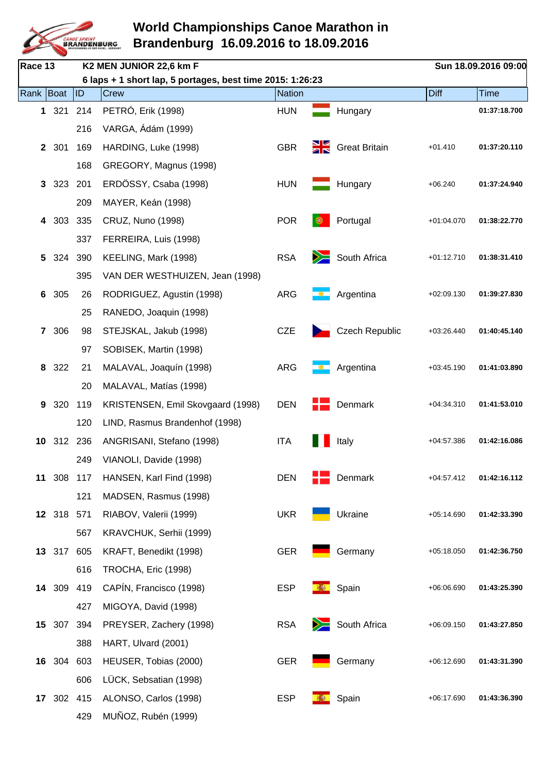

| Race 13        |            |         | K2 MEN JUNIOR 22,6 km F                                   |               |        |                       |              | Sun 18.09.2016 09:00 |
|----------------|------------|---------|-----------------------------------------------------------|---------------|--------|-----------------------|--------------|----------------------|
|                |            |         | 6 laps + 1 short lap, 5 portages, best time 2015: 1:26:23 |               |        |                       |              |                      |
| Rank   Boat    |            | ID      | <b>Crew</b>                                               | <b>Nation</b> |        |                       | <b>Diff</b>  | <b>Time</b>          |
|                | 1 321      | 214     | PETRÓ, Erik (1998)                                        | <b>HUN</b>    |        | Hungary               |              | 01:37:18.700         |
|                |            | 216     | VARGA, Ádám (1999)                                        |               |        |                       |              |                      |
|                | 2 301      | 169     | HARDING, Luke (1998)                                      | <b>GBR</b>    |        | Great Britain         | $+01.410$    | 01:37:20.110         |
|                |            | 168     | GREGORY, Magnus (1998)                                    |               |        |                       |              |                      |
| 3              | 323        | 201     | ERDÖSSY, Csaba (1998)                                     | <b>HUN</b>    |        | Hungary               | $+06.240$    | 01:37:24.940         |
|                |            | 209     | MAYER, Keán (1998)                                        |               |        |                       |              |                      |
| 4              | 303        | 335     | CRUZ, Nuno (1998)                                         | <b>POR</b>    | ⊛      | Portugal              | $+01:04.070$ | 01:38:22.770         |
|                |            | 337     | FERREIRA, Luis (1998)                                     |               |        |                       |              |                      |
| 5              | 324        | 390     | KEELING, Mark (1998)                                      | <b>RSA</b>    | $\geq$ | South Africa          | $+01:12.710$ | 01:38:31.410         |
|                |            | 395     | VAN DER WESTHUIZEN, Jean (1998)                           |               |        |                       |              |                      |
| 6              | 305        | 26      | RODRIGUEZ, Agustin (1998)                                 | <b>ARG</b>    |        | Argentina             | $+02:09.130$ | 01:39:27.830         |
|                |            | 25      | RANEDO, Joaquin (1998)                                    |               |        |                       |              |                      |
| $\overline{7}$ | 306        | 98      | STEJSKAL, Jakub (1998)                                    | <b>CZE</b>    |        | <b>Czech Republic</b> | $+03:26.440$ | 01:40:45.140         |
|                |            | 97      | SOBISEK, Martin (1998)                                    |               |        |                       |              |                      |
| 8              | 322        | 21      | MALAVAL, Joaquín (1998)                                   | ARG           |        | Argentina             | $+03:45.190$ | 01:41:03.890         |
|                |            | 20      | MALAVAL, Matías (1998)                                    |               |        |                       |              |                      |
| 9              | 320        | 119     | KRISTENSEN, Emil Skovgaard (1998)                         | <b>DEN</b>    |        | Denmark               | $+04:34.310$ | 01:41:53.010         |
|                |            | 120     | LIND, Rasmus Brandenhof (1998)                            |               |        |                       |              |                      |
| 10             | 312        | 236     | ANGRISANI, Stefano (1998)                                 | <b>ITA</b>    |        | Italy                 | $+04:57.386$ | 01:42:16.086         |
|                |            | 249     | VIANOLI, Davide (1998)                                    |               |        |                       |              |                      |
| 11             | 308        | 117     | HANSEN, Karl Find (1998)                                  | <b>DEN</b>    |        | Denmark               | $+04:57.412$ | 01:42:16.112         |
|                |            | 121     | MADSEN, Rasmus (1998)                                     |               |        |                       |              |                      |
|                | 12 318 571 |         | RIABOV, Valerii (1999)                                    | <b>UKR</b>    |        | Ukraine               | $+05:14.690$ | 01:42:33.390         |
|                |            | 567     | KRAVCHUK, Serhii (1999)                                   |               |        |                       |              |                      |
|                | 13 317     | 605     | KRAFT, Benedikt (1998)                                    | <b>GER</b>    |        | Germany               | $+05:18.050$ | 01:42:36.750         |
|                |            | 616     | TROCHA, Eric (1998)                                       |               |        |                       |              |                      |
|                | 14 309     | 419     | CAPÍN, Francisco (1998)                                   | <b>ESP</b>    | 林村     | Spain                 | +06:06.690   | 01:43:25.390         |
|                |            | 427     | MIGOYA, David (1998)                                      |               |        |                       |              |                      |
| 15             |            | 307 394 | PREYSER, Zachery (1998)                                   | <b>RSA</b>    | $\geq$ | South Africa          | $+06:09.150$ | 01:43:27.850         |
|                |            | 388     | HART, Ulvard (2001)                                       |               |        |                       |              |                      |
| 16             | 304        | 603     | HEUSER, Tobias (2000)                                     | <b>GER</b>    |        | Germany               | $+06:12.690$ | 01:43:31.390         |
|                |            | 606     | LÜCK, Sebsatian (1998)                                    |               |        |                       |              |                      |
|                | 17 302 415 |         | ALONSO, Carlos (1998)                                     | <b>ESP</b>    |        | Spain                 | $+06:17.690$ | 01:43:36.390         |
|                |            | 429     | MUÑOZ, Rubén (1999)                                       |               |        |                       |              |                      |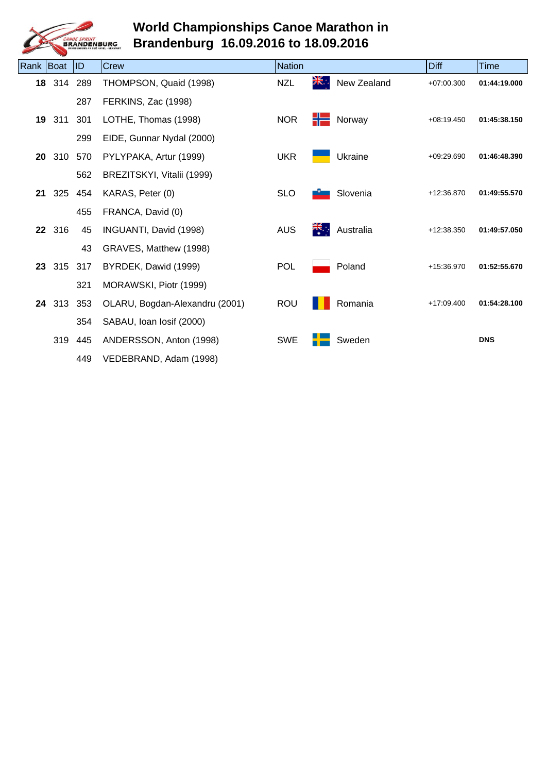

| Rank Boat       |     | ID      | Crew                           | <b>Nation</b> |                      |             | <b>Diff</b>  | <b>Time</b>  |
|-----------------|-----|---------|--------------------------------|---------------|----------------------|-------------|--------------|--------------|
| 18              | 314 | 289     | THOMPSON, Quaid (1998)         | <b>NZL</b>    | XK.,                 | New Zealand | $+07:00.300$ | 01:44:19.000 |
|                 |     | 287     | FERKINS, Zac (1998)            |               |                      |             |              |              |
| 19              | 311 | 301     | LOTHE, Thomas (1998)           | <b>NOR</b>    | ۲۲                   | Norway      | $+08:19.450$ | 01:45:38.150 |
|                 |     | 299     | EIDE, Gunnar Nydal (2000)      |               |                      |             |              |              |
| 20              | 310 | 570     | PYLYPAKA, Artur (1999)         | <b>UKR</b>    |                      | Ukraine     | $+09:29.690$ | 01:46:48.390 |
|                 |     | 562     | BREZITSKYI, Vitalii (1999)     |               |                      |             |              |              |
| 21              | 325 | 454     | KARAS, Peter (0)               | <b>SLO</b>    |                      | Slovenia    | +12:36.870   | 01:49:55.570 |
|                 |     | 455     | FRANCA, David (0)              |               |                      |             |              |              |
| 22 <sub>2</sub> | 316 | 45      | INGUANTI, David (1998)         | <b>AUS</b>    | $\frac{1}{\sqrt{N}}$ | Australia   | $+12:38.350$ | 01:49:57.050 |
|                 |     | 43      | GRAVES, Matthew (1998)         |               |                      |             |              |              |
| 23              |     | 315 317 | BYRDEK, Dawid (1999)           | <b>POL</b>    |                      | Poland      | +15:36.970   | 01:52:55.670 |
|                 |     | 321     | MORAWSKI, Piotr (1999)         |               |                      |             |              |              |
| 24              | 313 | 353     | OLARU, Bogdan-Alexandru (2001) | <b>ROU</b>    |                      | Romania     | $+17:09.400$ | 01:54:28.100 |
|                 |     | 354     | SABAU, Ioan Iosif (2000)       |               |                      |             |              |              |
|                 | 319 | 445     | ANDERSSON, Anton (1998)        | <b>SWE</b>    |                      | Sweden      |              | <b>DNS</b>   |
|                 |     | 449     | VEDEBRAND, Adam (1998)         |               |                      |             |              |              |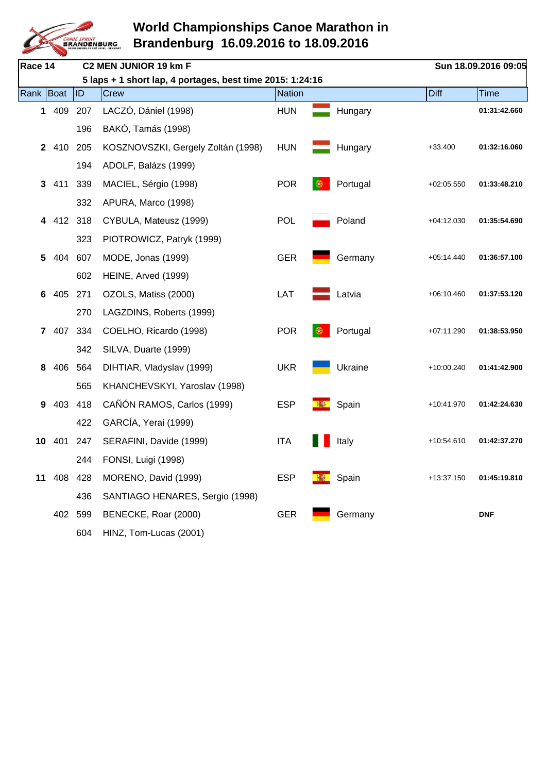

| Race 14      |            |           | C2 MEN JUNIOR 19 km F                                     |               |   |          |              | Sun 18.09.2016 09:05 |
|--------------|------------|-----------|-----------------------------------------------------------|---------------|---|----------|--------------|----------------------|
|              |            |           | 5 laps + 1 short lap, 4 portages, best time 2015: 1:24:16 |               |   |          |              |                      |
| Rank   Boat  |            | <b>ID</b> | Crew                                                      | <b>Nation</b> |   |          | <b>Diff</b>  | <b>Time</b>          |
|              | 1 409      | 207       | LACZÓ, Dániel (1998)                                      | <b>HUN</b>    |   | Hungary  |              | 01:31:42.660         |
|              |            | 196       | BAKÓ, Tamás (1998)                                        |               |   |          |              |                      |
| $\mathbf{2}$ | 410        | 205       | KOSZNOVSZKI, Gergely Zoltán (1998)                        | <b>HUN</b>    |   | Hungary  | $+33.400$    | 01:32:16.060         |
|              |            | 194       | ADOLF, Balázs (1999)                                      |               |   |          |              |                      |
| 3            | 411        | 339       | MACIEL, Sérgio (1998)                                     | <b>POR</b>    |   | Portugal | $+02:05.550$ | 01:33:48.210         |
|              |            | 332       | APURA, Marco (1998)                                       |               |   |          |              |                      |
| 4            | 412 318    |           | CYBULA, Mateusz (1999)                                    | <b>POL</b>    |   | Poland   | $+04:12.030$ | 01:35:54.690         |
|              |            | 323       | PIOTROWICZ, Patryk (1999)                                 |               |   |          |              |                      |
| 5            | 404        | 607       | MODE, Jonas (1999)                                        | <b>GER</b>    |   | Germany  | $+05:14.440$ | 01:36:57.100         |
|              |            | 602       | HEINE, Arved (1999)                                       |               |   |          |              |                      |
| 6            | 405        | 271       | OZOLS, Matiss (2000)                                      | LAT           |   | Latvia   | $+06:10.460$ | 01:37:53.120         |
|              |            | 270       | LAGZDINS, Roberts (1999)                                  |               |   |          |              |                      |
|              | 7 407      | 334       | COELHO, Ricardo (1998)                                    | <b>POR</b>    | ⊛ | Portugal | $+07:11.290$ | 01:38:53.950         |
|              |            | 342       | SILVA, Duarte (1999)                                      |               |   |          |              |                      |
| 8            | 406        | 564       | DIHTIAR, Vladyslav (1999)                                 | <b>UKR</b>    |   | Ukraine  | +10:00.240   | 01:41:42.900         |
|              |            | 565       | KHANCHEVSKYI, Yaroslav (1998)                             |               |   |          |              |                      |
| 9            | 403        | 418       | CAÑÓN RAMOS, Carlos (1999)                                | <b>ESP</b>    |   | Spain    | +10:41.970   | 01:42:24.630         |
|              |            | 422       | GARCÍA, Yerai (1999)                                      |               |   |          |              |                      |
|              | 10 401 247 |           | SERAFINI, Davide (1999)                                   | <b>ITA</b>    |   | Italy    | +10:54.610   | 01:42:37.270         |
|              |            | 244       | FONSI, Luigi (1998)                                       |               |   |          |              |                      |
| 11           | 408        | 428       | MORENO, David (1999)                                      | <b>ESP</b>    |   | Spain    | +13:37.150   | 01:45:19.810         |
|              |            | 436       | SANTIAGO HENARES, Sergio (1998)                           |               |   |          |              |                      |
|              | 402        | 599       | BENECKE, Roar (2000)                                      | <b>GER</b>    |   | Germany  |              | <b>DNF</b>           |
|              |            | 604       | HINZ, Tom-Lucas (2001)                                    |               |   |          |              |                      |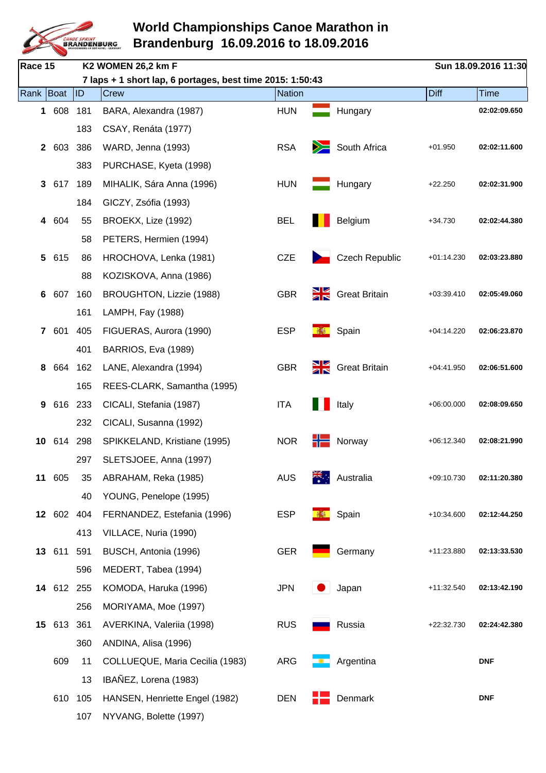

| Race 15      |            |           | K2 WOMEN 26,2 km F                                        |               |                 |                          |              | Sun 18.09.2016 11:30 |
|--------------|------------|-----------|-----------------------------------------------------------|---------------|-----------------|--------------------------|--------------|----------------------|
|              |            |           | 7 laps + 1 short lap, 6 portages, best time 2015: 1:50:43 |               |                 |                          |              |                      |
| Rank   Boat  |            | <b>ID</b> | Crew                                                      | <b>Nation</b> |                 |                          | Diff         | <b>Time</b>          |
| $\mathbf 1$  | 608        | 181       | BARA, Alexandra (1987)                                    | <b>HUN</b>    |                 | Hungary                  |              | 02:02:09.650         |
|              |            | 183       | CSAY, Renáta (1977)                                       |               |                 |                          |              |                      |
| $\mathbf{2}$ | 603        | 386       | WARD, Jenna (1993)                                        | <b>RSA</b>    | $\geq$          | South Africa             | $+01.950$    | 02:02:11.600         |
|              |            | 383       | PURCHASE, Kyeta (1998)                                    |               |                 |                          |              |                      |
| 3            | 617        | 189       | MIHALIK, Sára Anna (1996)                                 | <b>HUN</b>    |                 | Hungary                  | $+22.250$    | 02:02:31.900         |
|              |            | 184       | GICZY, Zsófia (1993)                                      |               |                 |                          |              |                      |
| 4            | 604        | 55        | BROEKX, Lize (1992)                                       | <b>BEL</b>    |                 | Belgium                  | $+34.730$    | 02:02:44.380         |
|              |            | 58        | PETERS, Hermien (1994)                                    |               |                 |                          |              |                      |
| 5            | 615        | 86        | HROCHOVA, Lenka (1981)                                    | <b>CZE</b>    |                 | <b>Czech Republic</b>    | $+01:14.230$ | 02:03:23.880         |
|              |            | 88        | KOZISKOVA, Anna (1986)                                    |               |                 |                          |              |                      |
| 6            | 607        | 160       | BROUGHTON, Lizzie (1988)                                  | <b>GBR</b>    |                 | <b>Signal Strition</b>   | $+03:39.410$ | 02:05:49.060         |
|              |            | 161       | LAMPH, Fay (1988)                                         |               |                 |                          |              |                      |
| $\mathbf{7}$ | 601        | 405       | FIGUERAS, Aurora (1990)                                   | <b>ESP</b>    |                 | Spain                    | $+04:14.220$ | 02:06:23.870         |
|              |            | 401       | BARRIOS, Eva (1989)                                       |               |                 |                          |              |                      |
| 8            | 664        | 162       | LANE, Alexandra (1994)                                    | <b>GBR</b>    |                 | <b>SIZ</b> Great Britain | $+04:41.950$ | 02:06:51.600         |
|              |            | 165       | REES-CLARK, Samantha (1995)                               |               |                 |                          |              |                      |
| 9            | 616        | 233       | CICALI, Stefania (1987)                                   | <b>ITA</b>    |                 | Italy                    | $+06:00.000$ | 02:08:09.650         |
|              |            | 232       | CICALI, Susanna (1992)                                    |               |                 |                          |              |                      |
| 10           | 614        | 298       | SPIKKELAND, Kristiane (1995)                              | <b>NOR</b>    |                 | Norway                   | $+06:12.340$ | 02:08:21.990         |
|              |            | 297       | SLETSJOEE, Anna (1997)                                    |               |                 |                          |              |                      |
|              | 11 605     | 35        | ABRAHAM, Reka (1985)                                      | <b>AUS</b>    |                 | Australia                | $+09:10.730$ | 02:11:20.380         |
|              |            | 40        | YOUNG, Penelope (1995)                                    |               |                 |                          |              |                      |
|              | 12 602     | 404       | FERNANDEZ, Estefania (1996)                               | <b>ESP</b>    | <b>Property</b> | Spain                    | +10:34.600   | 02:12:44.250         |
|              |            | 413       | VILLACE, Nuria (1990)                                     |               |                 |                          |              |                      |
|              | 13 611     | 591       | BUSCH, Antonia (1996)                                     | <b>GER</b>    |                 | Germany                  | +11:23.880   | 02:13:33.530         |
|              |            | 596       | MEDERT, Tabea (1994)                                      |               |                 |                          |              |                      |
|              | 14 612 255 |           | KOMODA, Haruka (1996)                                     | <b>JPN</b>    |                 | Japan                    | +11:32.540   | 02:13:42.190         |
|              |            | 256       | MORIYAMA, Moe (1997)                                      |               |                 |                          |              |                      |
| 15           | 613        | 361       | AVERKINA, Valeriia (1998)                                 | <b>RUS</b>    |                 | Russia                   | +22:32.730   | 02:24:42.380         |
|              |            | 360       | ANDINA, Alisa (1996)                                      |               |                 |                          |              |                      |
|              | 609        | 11        | COLLUEQUE, Maria Cecilia (1983)                           | <b>ARG</b>    |                 | Argentina                |              | <b>DNF</b>           |
|              |            | 13        | IBAÑEZ, Lorena (1983)                                     |               |                 |                          |              |                      |
|              | 610        | 105       | HANSEN, Henriette Engel (1982)                            | <b>DEN</b>    |                 | Denmark                  |              | <b>DNF</b>           |
|              |            | 107       | NYVANG, Bolette (1997)                                    |               |                 |                          |              |                      |
|              |            |           |                                                           |               |                 |                          |              |                      |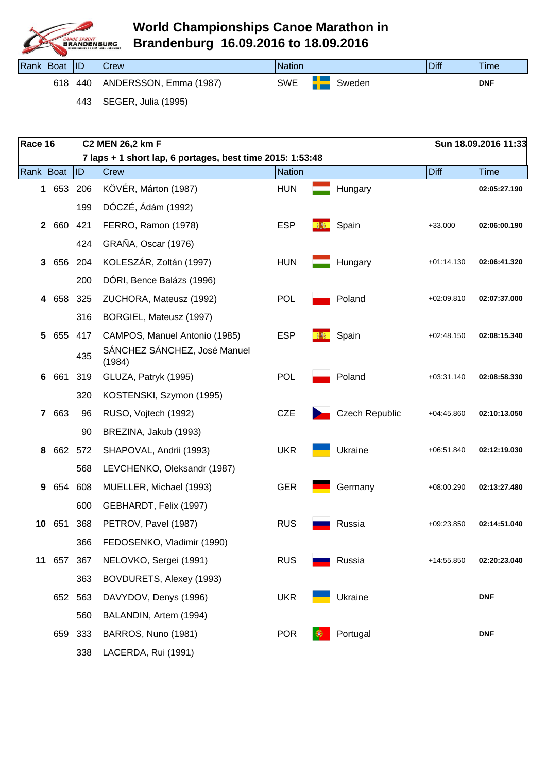

| Rank Boat |     | $\blacksquare$ | Crew                   | <b>Nation</b> |        | Diff | 'Time      |
|-----------|-----|----------------|------------------------|---------------|--------|------|------------|
|           | 618 | 440            | ANDERSSON, Emma (1987) | <b>SWE</b>    | Sweden |      | <b>DNF</b> |

443 SEGER, Julia (1995)

| Race 16        |       |         | C2 MEN 26,2 km F                                          |               |                       |              | Sun 18.09.2016 11:33 |
|----------------|-------|---------|-----------------------------------------------------------|---------------|-----------------------|--------------|----------------------|
|                |       |         | 7 laps + 1 short lap, 6 portages, best time 2015: 1:53:48 |               |                       |              |                      |
| Rank Boat      |       | ID)     | Crew                                                      | <b>Nation</b> |                       | Diff         | <b>Time</b>          |
|                | 1 653 | 206     | KÖVÉR, Márton (1987)                                      | <b>HUN</b>    | Hungary               |              | 02:05:27.190         |
|                |       | 199     | DÓCZÉ, Ádám (1992)                                        |               |                       |              |                      |
| $\mathbf{2}$   | 660   | 421     | FERRO, Ramon (1978)                                       | <b>ESP</b>    | Spain                 | $+33.000$    | 02:06:00.190         |
|                |       | 424     | GRAÑA, Oscar (1976)                                       |               |                       |              |                      |
| 3              | 656   | 204     | KOLESZÁR, Zoltán (1997)                                   | <b>HUN</b>    | Hungary               | $+01:14.130$ | 02:06:41.320         |
|                |       | 200     | DÓRI, Bence Balázs (1996)                                 |               |                       |              |                      |
|                | 4 658 | 325     | ZUCHORA, Mateusz (1992)                                   | <b>POL</b>    | Poland                | $+02:09.810$ | 02:07:37.000         |
|                |       | 316     | BORGIEL, Mateusz (1997)                                   |               |                       |              |                      |
| 5              | 655   | 417     | CAMPOS, Manuel Antonio (1985)                             | <b>ESP</b>    | Spain                 | $+02:48.150$ | 02:08:15.340         |
|                |       | 435     | SÁNCHEZ SÁNCHEZ, José Manuel<br>(1984)                    |               |                       |              |                      |
| 6              | 661   | 319     | GLUZA, Patryk (1995)                                      | <b>POL</b>    | Poland                | $+03:31.140$ | 02:08:58.330         |
|                |       | 320     | KOSTENSKI, Szymon (1995)                                  |               |                       |              |                      |
| $\overline{7}$ | 663   | 96      | RUSO, Vojtech (1992)                                      | <b>CZE</b>    | <b>Czech Republic</b> | $+04:45.860$ | 02:10:13.050         |
|                |       | 90      | BREZINA, Jakub (1993)                                     |               |                       |              |                      |
| 8              |       | 662 572 | SHAPOVAL, Andrii (1993)                                   | <b>UKR</b>    | Ukraine               | $+06.51.840$ | 02:12:19.030         |
|                |       | 568     | LEVCHENKO, Oleksandr (1987)                               |               |                       |              |                      |
| 9              | 654   | 608     | MUELLER, Michael (1993)                                   | <b>GER</b>    | Germany               | +08:00.290   | 02:13:27.480         |
|                |       | 600     | GEBHARDT, Felix (1997)                                    |               |                       |              |                      |
| 10             | 651   | 368     | PETROV, Pavel (1987)                                      | <b>RUS</b>    | Russia                | $+09:23.850$ | 02:14:51.040         |
|                |       | 366     | FEDOSENKO, Vladimir (1990)                                |               |                       |              |                      |
| 11             | 657   | 367     | NELOVKO, Sergei (1991)                                    | <b>RUS</b>    | Russia                | +14:55.850   | 02:20:23.040         |
|                |       | 363     | BOVDURETS, Alexey (1993)                                  |               |                       |              |                      |
|                | 652   | 563     | DAVYDOV, Denys (1996)                                     | <b>UKR</b>    | Ukraine               |              | <b>DNF</b>           |
|                |       | 560     | BALANDIN, Artem (1994)                                    |               |                       |              |                      |
|                | 659   | 333     | BARROS, Nuno (1981)                                       | <b>POR</b>    | Portugal              |              | <b>DNF</b>           |
|                |       | 338     | LACERDA, Rui (1991)                                       |               |                       |              |                      |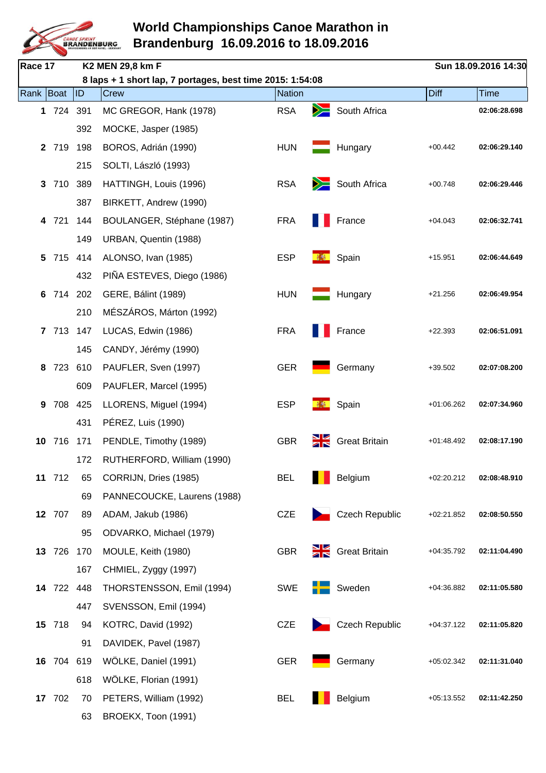

| Race 17     |            |         | K2 MEN 29,8 km F                                          |               |        |                       |              | Sun 18.09.2016 14:30 |
|-------------|------------|---------|-----------------------------------------------------------|---------------|--------|-----------------------|--------------|----------------------|
|             |            |         | 8 laps + 1 short lap, 7 portages, best time 2015: 1:54:08 |               |        |                       |              |                      |
| Rank   Boat |            | ID      | Crew                                                      | <b>Nation</b> |        |                       | <b>Diff</b>  | <b>Time</b>          |
|             | 1 724      | 391     | MC GREGOR, Hank (1978)                                    | <b>RSA</b>    | $\geq$ | South Africa          |              | 02:06:28.698         |
|             |            | 392     | MOCKE, Jasper (1985)                                      |               |        |                       |              |                      |
|             | 2 719      | 198     | BOROS, Adrián (1990)                                      | <b>HUN</b>    |        | Hungary               | $+00.442$    | 02:06:29.140         |
|             |            | 215     | SOLTI, László (1993)                                      |               |        |                       |              |                      |
| 3           | 710        | 389     | HATTINGH, Louis (1996)                                    | <b>RSA</b>    |        | South Africa          | $+00.748$    | 02:06:29.446         |
|             |            | 387     | BIRKETT, Andrew (1990)                                    |               |        |                       |              |                      |
| 4           | 721        | 144     | BOULANGER, Stéphane (1987)                                | <b>FRA</b>    |        | France                | $+04.043$    | 02:06:32.741         |
|             |            | 149     | URBAN, Quentin (1988)                                     |               |        |                       |              |                      |
| 5           | 715        | 414     | ALONSO, Ivan (1985)                                       | <b>ESP</b>    |        | Spain                 | $+15.951$    | 02:06:44.649         |
|             |            | 432     | PIÑA ESTEVES, Diego (1986)                                |               |        |                       |              |                      |
| 6           |            | 714 202 | GERE, Bálint (1989)                                       | <b>HUN</b>    |        | Hungary               | $+21.256$    | 02:06:49.954         |
|             |            | 210     | MÉSZÁROS, Márton (1992)                                   |               |        |                       |              |                      |
|             | 7 713      | 147     | LUCAS, Edwin (1986)                                       | <b>FRA</b>    |        | France                | $+22.393$    | 02:06:51.091         |
|             |            | 145     | CANDY, Jérémy (1990)                                      |               |        |                       |              |                      |
| 8           | 723        | 610     | PAUFLER, Sven (1997)                                      | <b>GER</b>    |        | Germany               | $+39.502$    | 02:07:08.200         |
|             |            | 609     | PAUFLER, Marcel (1995)                                    |               |        |                       |              |                      |
| 9           | 708        | 425     | LLORENS, Miguel (1994)                                    | <b>ESP</b>    |        | Spain                 | +01:06.262   | 02:07:34.960         |
|             |            | 431     | PÉREZ, Luis (1990)                                        |               |        |                       |              |                      |
| 10          | 716        | 171     | PENDLE, Timothy (1989)                                    | <b>GBR</b>    | Ж      | <b>Great Britain</b>  | $+01:48.492$ | 02:08:17.190         |
|             |            | 172     | RUTHERFORD, William (1990)                                |               |        |                       |              |                      |
|             | 11 712     | 65      | CORRIJN, Dries (1985)                                     | <b>BEL</b>    |        | Belgium               | $+02:20.212$ | 02:08:48.910         |
|             |            | 69      | PANNECOUCKE, Laurens (1988)                               |               |        |                       |              |                      |
|             | 12 707     | 89      | ADAM, Jakub (1986)                                        | <b>CZE</b>    |        | <b>Czech Republic</b> | $+02:21.852$ | 02:08:50.550         |
|             |            | 95      | ODVARKO, Michael (1979)                                   |               |        |                       |              |                      |
|             | 13 726     | 170     | MOULE, Keith (1980)                                       | <b>GBR</b>    |        | Great Britain         | $+04:35.792$ | 02:11:04.490         |
|             |            | 167     | CHMIEL, Zyggy (1997)                                      |               |        |                       |              |                      |
|             | 14 722 448 |         | THORSTENSSON, Emil (1994)                                 | <b>SWE</b>    |        | Sweden                | $+04:36.882$ | 02:11:05.580         |
|             |            | 447     | SVENSSON, Emil (1994)                                     |               |        |                       |              |                      |
|             | 15 718     | 94      | KOTRC, David (1992)                                       | <b>CZE</b>    |        | <b>Czech Republic</b> | $+04:37.122$ | 02:11:05.820         |
|             |            | 91      | DAVIDEK, Pavel (1987)                                     |               |        |                       |              |                      |
|             | 16 704 619 |         | WÖLKE, Daniel (1991)                                      | <b>GER</b>    |        | Germany               | $+05:02.342$ | 02:11:31.040         |
|             |            | 618     | WÖLKE, Florian (1991)                                     |               |        |                       |              |                      |
|             | 17 702     | 70      | PETERS, William (1992)                                    | <b>BEL</b>    |        | Belgium               | $+05:13.552$ | 02:11:42.250         |
|             |            | 63      | BROEKX, Toon (1991)                                       |               |        |                       |              |                      |